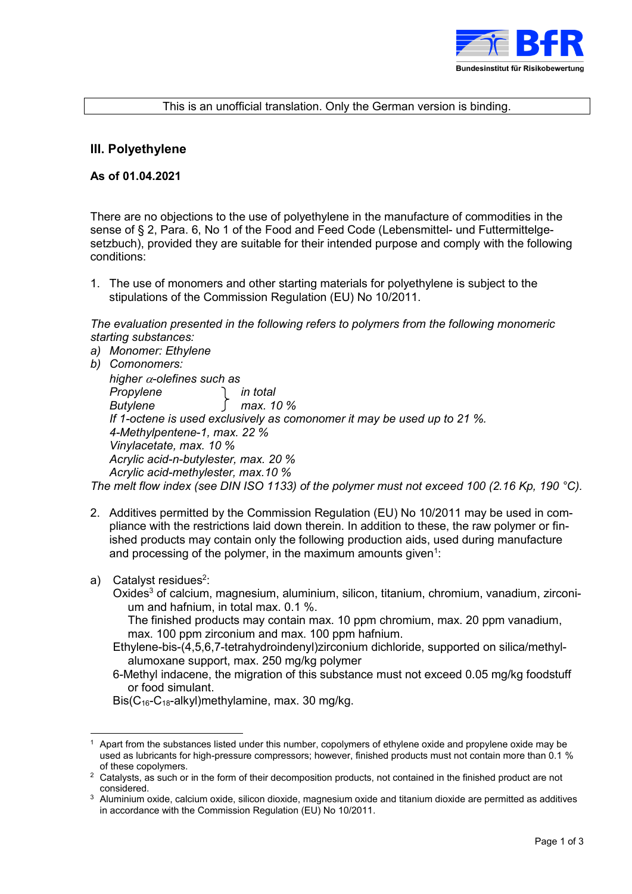

## This is an unofficial translation. Only the German version is binding.

## **III. Polyethylene**

## **As of 01.04.2021**

There are no objections to the use of polyethylene in the manufacture of commodities in the sense of § 2, Para. 6, No 1 of the Food and Feed Code (Lebensmittel- und Futtermittelgesetzbuch), provided they are suitable for their intended purpose and comply with the following conditions:

1. The use of monomers and other starting materials for polyethylene is subject to the stipulations of the Commission Regulation (EU) No 10/2011.

*The evaluation presented in the following refers to polymers from the following monomeric starting substances:*

*a) Monomer: Ethylene b) Comonomers: higher -olefines such as Propylene in total Butylene max. 10 % If 1-octene is used exclusively as comonomer it may be used up to 21 %. 4-Methylpentene-1, max. 22 % Vinylacetate, max. 10 % Acrylic acid-n-butylester, max. 20 % Acrylic acid-methylester, max.10 %*

*The melt flow index (see DIN ISO 1133) of the polymer must not exceed 100 (2.16 Kp, 190 °C).*

2. Additives permitted by the Commission Regulation (EU) No 10/2011 may be used in compliance with the restrictions laid down therein. In addition to these, the raw polymer or finished products may contain only the following production aids, used during manufacture and processing of the polymer, in the maximum amounts given<sup>1</sup>:

## a) Catalyst residues<sup>2</sup>:

Oxides<sup>3</sup> of calcium, magnesium, aluminium, silicon, titanium, chromium, vanadium, zirconium and hafnium, in total max. 0.1 %.

The finished products may contain max. 10 ppm chromium, max. 20 ppm vanadium, max. 100 ppm zirconium and max. 100 ppm hafnium.

- Ethylene-bis-(4,5,6,7-tetrahydroindenyl)zirconium dichloride, supported on silica/methylalumoxane support, max. 250 mg/kg polymer
- 6-Methyl indacene, the migration of this substance must not exceed 0.05 mg/kg foodstuff or food simulant.

 $Bis(C_{16}-C_{18}-alkyl)$ methylamine, max. 30 mg/kg.

<sup>1</sup> <sup>1</sup> Apart from the substances listed under this number, copolymers of ethylene oxide and propylene oxide may be used as lubricants for high-pressure compressors; however, finished products must not contain more than 0.1 % of these copolymers.

<sup>&</sup>lt;sup>2</sup> Catalysts, as such or in the form of their decomposition products, not contained in the finished product are not considered.

 $3$  Aluminium oxide, calcium oxide, silicon dioxide, magnesium oxide and titanium dioxide are permitted as additives in accordance with the Commission Regulation (EU) No 10/2011.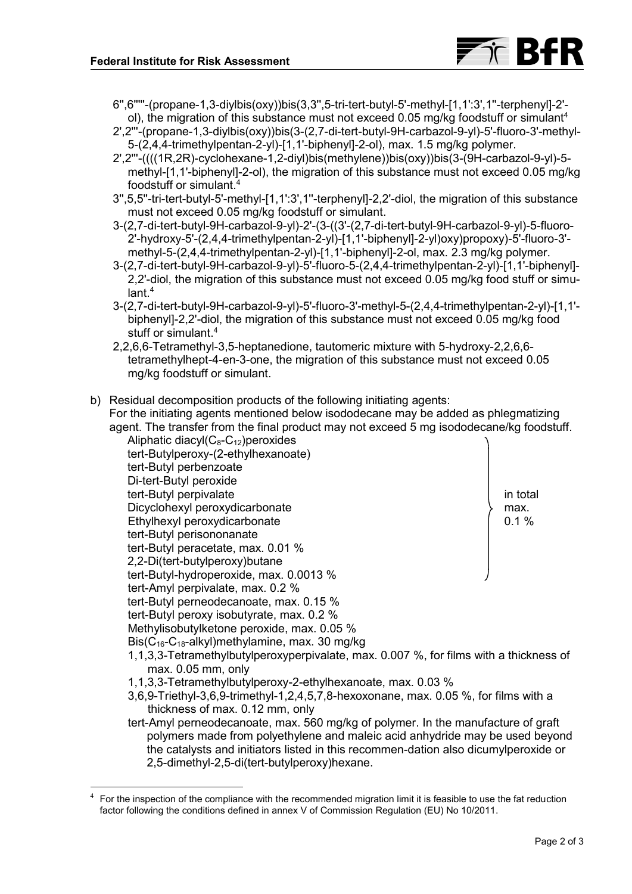<span id="page-1-0"></span>

- 6'',6'''''-(propane-1,3-diylbis(oxy))bis(3,3'',5-tri-tert-butyl-5'-methyl-[1,1':3',1''-terphenyl]-2' ol), the migration of this substance must not exceed 0.05 mg/kg foodstuff or simulant<sup>4</sup>
- 2',2'''-(propane-1,3-diylbis(oxy))bis(3-(2,7-di-tert-butyl-9H-carbazol-9-yl)-5'-fluoro-3'-methyl-5-(2,4,4-trimethylpentan-2-yl)-[1,1'-biphenyl]-2-ol), max. 1.5 mg/kg polymer.
- 2',2'''-((((1R,2R)-cyclohexane-1,2-diyl)bis(methylene))bis(oxy))bis(3-(9H-carbazol-9-yl)-5 methyl-[1,1'-biphenyl]-2-ol), the migration of this substance must not exceed 0.05 mg/kg foodstuff or simulant[.](#page-1-0) 4
- 3'',5,5''-tri-tert-butyl-5'-methyl-[1,1':3',1''-terphenyl]-2,2'-diol, the migration of this substance must not exceed 0.05 mg/kg foodstuff or simulant.
- 3-(2,7-di-tert-butyl-9H-carbazol-9-yl)-2'-(3-((3'-(2,7-di-tert-butyl-9H-carbazol-9-yl)-5-fluoro-2'-hydroxy-5'-(2,4,4-trimethylpentan-2-yl)-[1,1'-biphenyl]-2-yl)oxy)propoxy)-5'-fluoro-3' methyl-5-(2,4,4-trimethylpentan-2-yl)-[1,1'-biphenyl]-2-ol, max. 2.3 mg/kg polymer.
- 3-(2,7-di-tert-butyl-9H-carbazol-9-yl)-5'-fluoro-5-(2,4,4-trimethylpentan-2-yl)-[1,1'-biphenyl]- 2,2'-diol, the migration of this substance must not exceed 0.05 mg/kg food stuff or simulant $4$
- 3-(2,7-di-tert-butyl-9H-carbazol-9-yl)-5'-fluoro-3'-methyl-5-(2,4,4-trimethylpentan-2-yl)-[1,1' biphenyl]-2,2'-diol, the migration of this substance must not exceed 0.05 mg/kg food stuff or simulant. [4](#page-1-0)
- 2,2,6,6-Tetramethyl-3,5-heptanedione, tautomeric mixture with 5-hydroxy-2,2,6,6 tetramethylhept-4-en-3-one, the migration of this substance must not exceed 0.05 mg/kg foodstuff or simulant.
- b) Residual decomposition products of the following initiating agents:

For the initiating agents mentioned below isododecane may be added as phlegmatizing agent. The transfer from the final product may not exceed 5 mg isododecane/kg foodstuff.

| Aliphatic diacyl( $C_8$ -C <sub>12</sub> ) peroxides                                   |          |
|----------------------------------------------------------------------------------------|----------|
| tert-Butylperoxy-(2-ethylhexanoate)                                                    |          |
| tert-Butyl perbenzoate                                                                 |          |
| Di-tert-Butyl peroxide                                                                 |          |
| tert-Butyl perpivalate                                                                 | in total |
| Dicyclohexyl peroxydicarbonate                                                         | max.     |
| Ethylhexyl peroxydicarbonate                                                           | 0.1%     |
| tert-Butyl perisononanate                                                              |          |
| tert-Butyl peracetate, max. 0.01 %                                                     |          |
| 2,2-Di(tert-butylperoxy)butane                                                         |          |
| tert-Butyl-hydroperoxide, max. 0.0013 %                                                |          |
| tert-Amyl perpivalate, max. 0.2 %                                                      |          |
| tert-Butyl perneodecanoate, max. 0.15 %                                                |          |
| tert-Butyl peroxy isobutyrate, max. 0.2 %                                              |          |
| Methylisobutylketone peroxide, max. 0.05 %                                             |          |
| $\text{Bis}(C_{16}$ -C <sub>18</sub> -alkyl) methylamine, max. 30 mg/kg                |          |
| 1,1,3,3-Tetramethylbutylperoxyperpivalate, max. 0.007 %, for films with a thickness of |          |

max. 0.05 mm, only

-

- 1,1,3,3-Tetramethylbutylperoxy-2-ethylhexanoate, max. 0.03 %
- 3,6,9-Triethyl-3,6,9-trimethyl-1,2,4,5,7,8-hexoxonane, max. 0.05 %, for films with a thickness of max. 0.12 mm, only
- tert-Amyl perneodecanoate, max. 560 mg/kg of polymer. In the manufacture of graft polymers made from polyethylene and maleic acid anhydride may be used beyond the catalysts and initiators listed in this recommen-dation also dicumylperoxide or 2,5-dimethyl-2,5-di(tert-butylperoxy)hexane.

For the inspection of the compliance with the recommended migration limit it is feasible to use the fat reduction factor following the conditions defined in annex V of Commission Regulation (EU) No 10/2011.